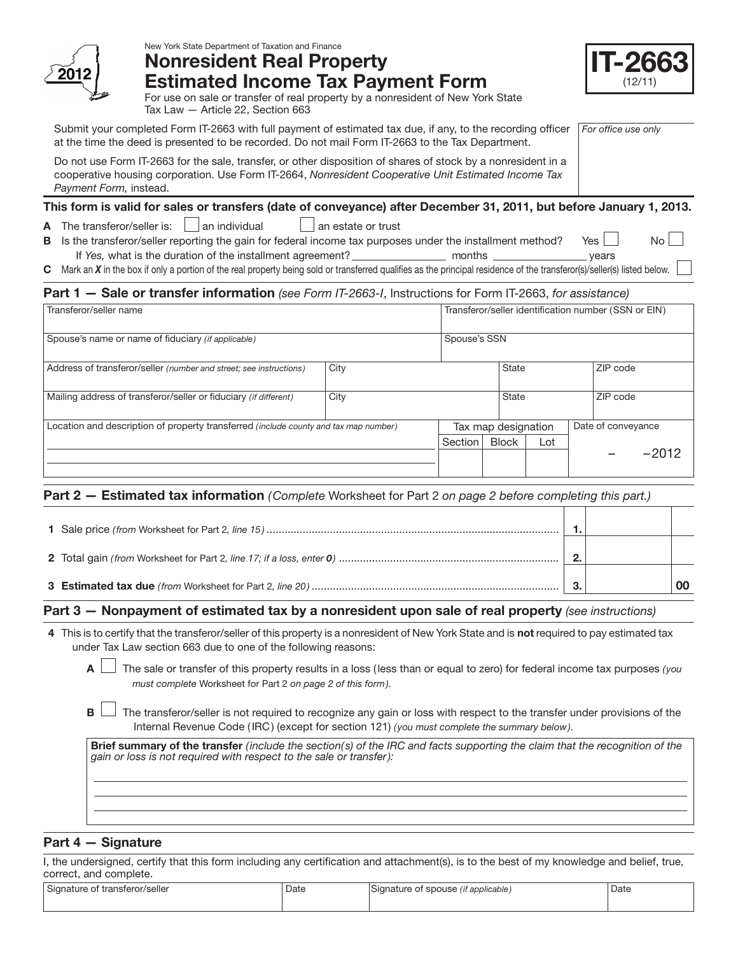

## New York State Department of Taxation and Finance Nonresident Real Property

| 6<br>h  |
|---------|
| (12/11) |

For use on sale or transfer of real property by a nonresident of New York State Tax Law — Article 22, Section 663

Estimated Income Tax Payment Form

*For office use only* Submit your completed Form IT-2663 with full payment of estimated tax due, if any, to the recording officer at the time the deed is presented to be recorded. Do not mail Form IT-2663 to the Tax Department.

Do not use Form IT-2663 for the sale, transfer, or other disposition of shares of stock by a nonresident in a cooperative housing corporation. Use Form IT-2664, *Nonresident Cooperative Unit Estimated Income Tax Payment Form,* instead.

# This form is valid for sales or transfers (date of conveyance) after December 31, 2011, but before January 1, 2013.

A The transferor/seller is:  $\Box$  an individual  $\Box$  an estate or trust

B Is the transferor/seller reporting the gain for federal income tax purposes under the installment method? Yes  $\Box$  No If *Yes,* what is the duration of the installment agreement? months years

C Mark an *X* in the box if only a portion of the real property being sold or transferred qualifies as the principal residence of the transferor(s)/seller(s) listed below.

# Part 1 — Sale or transfer information *(see Form IT-2663-I*, Instructions for Form IT-2663, *for assistance)*

| Transferor/seller name                                                               | Transferor/seller identification number (SSN or EIN) |         |              |     |          |          |
|--------------------------------------------------------------------------------------|------------------------------------------------------|---------|--------------|-----|----------|----------|
| Spouse's name or name of fiduciary (if applicable)                                   | Spouse's SSN                                         |         |              |     |          |          |
| City<br>Address of transferor/seller (number and street; see instructions)           |                                                      |         | <b>State</b> |     |          | ZIP code |
| Mailing address of transferor/seller or fiduciary (if different)                     | City                                                 |         | <b>State</b> |     | ZIP code |          |
| Location and description of property transferred (include county and tax map number) | Date of conveyance<br>Tax map designation            |         |              |     |          |          |
|                                                                                      |                                                      | Section | <b>Block</b> | Lot |          |          |
|                                                                                      |                                                      |         |              |     | $-2012$  |          |

# Part 2 — Estimated tax information *(Complete* Worksheet for Part 2 *on page 2 before completing this part.)*

## Part 3 — Nonpayment of estimated tax by a nonresident upon sale of real property *(see instructions)*

- 4 This is to certify that the transferor/seller of this property is a nonresident of New York State and is **not** required to pay estimated tax under Tax Law section 663 due to one of the following reasons:
	- A The sale or transfer of this property results in a loss (less than or equal to zero) for federal income tax purposes *( you must complete* Worksheet for Part 2 *on page 2 of this form)*.
	- B  $\Box$  The transferor/seller is not required to recognize any gain or loss with respect to the transfer under provisions of the Internal Revenue Code (IRC) (except for section 121) *( you must complete the summary below)*.

Brief summary of the transfer *(include the section( s) of the IRC and facts supporting the claim that the recognition of the gain or loss is not required with respect to the sale or transfer):*

# Part 4 — Signature

I, the undersigned, certify that this form including any certification and attachment(s), is to the best of my knowledge and belief, true, correct, and complete.

| $\sim$<br>l Signature of transferor/seller | Date | $\sim$<br>Signature of spouse /<br>lit applicable. | Date |
|--------------------------------------------|------|----------------------------------------------------|------|
|                                            |      |                                                    |      |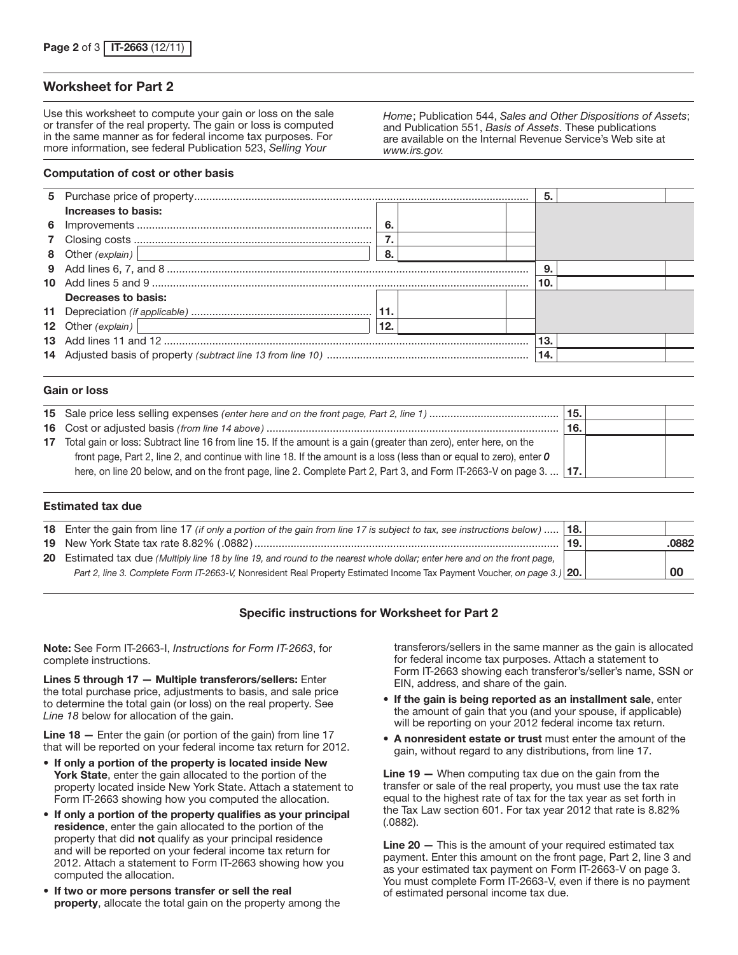### Worksheet for Part 2

Use this worksheet to compute your gain or loss on the sale or transfer of the real property. The gain or loss is computed in the same manner as for federal income tax purposes. For more information, see federal Publication 523, *Selling Your* 

*Home*; Publication 544, *Sales and Other Dispositions of Assets*; and Publication 551, *Basis of Assets*. These publications are available on the Internal Revenue Service's Web site at *www.irs.gov.*

#### Computation of cost or other basis

|                                                                                                              |      | 5.  |  |
|--------------------------------------------------------------------------------------------------------------|------|-----|--|
| Increases to basis:                                                                                          |      |     |  |
|                                                                                                              | - 6. |     |  |
|                                                                                                              |      |     |  |
| 8 Other (explain)   2000   2000   2010   2010   2010   2010   2010   2010   2010   2010   2010   2010   2010 | - 8. |     |  |
|                                                                                                              |      | 9.  |  |
|                                                                                                              |      | 10. |  |
| Decreases to basis:                                                                                          |      |     |  |
|                                                                                                              |      |     |  |
| 12 Other (explain)<br><u> 1989 - Johann Stein, mars an t-Amerikaansk ferskeider (</u>                        | 12.  |     |  |
|                                                                                                              |      | 13. |  |
|                                                                                                              |      | 14. |  |
|                                                                                                              |      |     |  |

### Gain or loss

|                                                                                                                             | 15. |  |
|-----------------------------------------------------------------------------------------------------------------------------|-----|--|
|                                                                                                                             | 16. |  |
| 17 Total gain or loss: Subtract line 16 from line 15. If the amount is a gain (greater than zero), enter here, on the       |     |  |
| front page, Part 2, line 2, and continue with line 18. If the amount is a loss (less than or equal to zero), enter $\bm{o}$ |     |  |
| here, on line 20 below, and on the front page, line 2. Complete Part 2, Part 3, and Form IT-2663-V on page 3.    17.        |     |  |

#### Estimated tax due

| <b>18.</b> Enter the gain from line 17 (if only a portion of the gain from line 17 is subject to tax, see instructions below)  18. |     |       |
|------------------------------------------------------------------------------------------------------------------------------------|-----|-------|
|                                                                                                                                    | 19. | .0882 |
| 20 Estimated tax due (Multiply line 18 by line 19, and round to the nearest whole dollar; enter here and on the front page,        |     |       |
| Part 2, line 3. Complete Form IT-2663-V, Nonresident Real Property Estimated Income Tax Payment Voucher, on page 3.) 20.           |     | 00    |

### Specific instructions for Worksheet for Part 2

Note: See Form IT-2663-I, *Instructions for Form IT-2663*, for complete instructions.

Lines 5 through 17 — Multiple transferors/sellers: Enter the total purchase price, adjustments to basis, and sale price to determine the total gain (or loss) on the real property. See *Line 18* below for allocation of the gain.

Line 18 – Enter the gain (or portion of the gain) from line 17 that will be reported on your federal income tax return for 2012.

- If only a portion of the property is located inside New York State, enter the gain allocated to the portion of the property located inside New York State. Attach a statement to Form IT-2663 showing how you computed the allocation.
- If only a portion of the property qualifies as your principal residence, enter the gain allocated to the portion of the property that did not qualify as your principal residence and will be reported on your federal income tax return for 2012. Attach a statement to Form IT-2663 showing how you computed the allocation.
- If two or more persons transfer or sell the real property, allocate the total gain on the property among the

transferors/sellers in the same manner as the gain is allocated for federal income tax purposes. Attach a statement to Form IT-2663 showing each transferor's/seller's name, SSN or EIN, address, and share of the gain.

- If the gain is being reported as an installment sale, enter the amount of gain that you (and your spouse, if applicable) will be reporting on your 2012 federal income tax return.
- A nonresident estate or trust must enter the amount of the gain, without regard to any distributions, from line 17.

Line 19 — When computing tax due on the gain from the transfer or sale of the real property, you must use the tax rate equal to the highest rate of tax for the tax year as set forth in the Tax Law section 601. For tax year 2012 that rate is 8.82% (.0882).

Line 20 – This is the amount of your required estimated tax payment. Enter this amount on the front page, Part 2, line 3 and as your estimated tax payment on Form IT-2663-V on page 3. You must complete Form IT-2663-V, even if there is no payment of estimated personal income tax due.